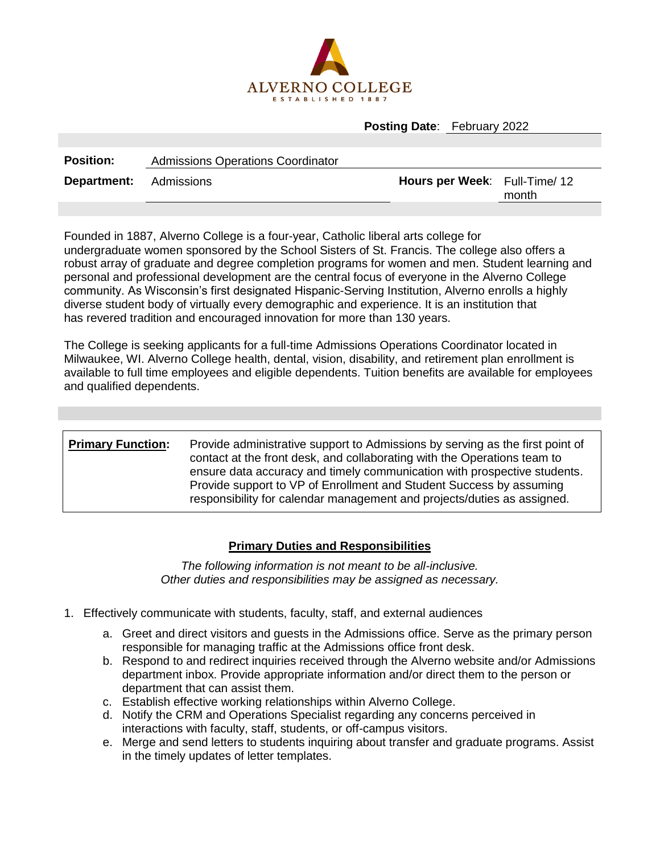

## **Posting Date**: February 2022

| <b>Position:</b>              | <b>Admissions Operations Coordinator</b> |                               |       |
|-------------------------------|------------------------------------------|-------------------------------|-------|
| <b>Department:</b> Admissions |                                          | Hours per Week: Full-Time/ 12 | month |
|                               |                                          |                               |       |

Founded in 1887, Alverno College is a four-year, Catholic liberal arts college for undergraduate women sponsored by the School Sisters of St. Francis. The college also offers a robust array of graduate and degree completion programs for women and men. Student learning and personal and professional development are the central focus of everyone in the Alverno College community. As Wisconsin's first designated Hispanic-Serving Institution, Alverno enrolls a highly diverse student body of virtually every demographic and experience. It is an institution that has revered tradition and encouraged innovation for more than 130 years.

The College is seeking applicants for a full-time Admissions Operations Coordinator located in Milwaukee, WI. Alverno College health, dental, vision, disability, and retirement plan enrollment is available to full time employees and eligible dependents. Tuition benefits are available for employees and qualified dependents.

| <b>Primary Function:</b> | Provide administrative support to Admissions by serving as the first point of<br>contact at the front desk, and collaborating with the Operations team to<br>ensure data accuracy and timely communication with prospective students.<br>Provide support to VP of Enrollment and Student Success by assuming<br>responsibility for calendar management and projects/duties as assigned. |
|--------------------------|-----------------------------------------------------------------------------------------------------------------------------------------------------------------------------------------------------------------------------------------------------------------------------------------------------------------------------------------------------------------------------------------|
|                          |                                                                                                                                                                                                                                                                                                                                                                                         |

## **Primary Duties and Responsibilities**

*The following information is not meant to be all-inclusive. Other duties and responsibilities may be assigned as necessary.*

- 1. Effectively communicate with students, faculty, staff, and external audiences
	- a. Greet and direct visitors and guests in the Admissions office. Serve as the primary person responsible for managing traffic at the Admissions office front desk.
	- b. Respond to and redirect inquiries received through the Alverno website and/or Admissions department inbox. Provide appropriate information and/or direct them to the person or department that can assist them.
	- c. Establish effective working relationships within Alverno College.
	- d. Notify the CRM and Operations Specialist regarding any concerns perceived in interactions with faculty, staff, students, or off-campus visitors.
	- e. Merge and send letters to students inquiring about transfer and graduate programs. Assist in the timely updates of letter templates.